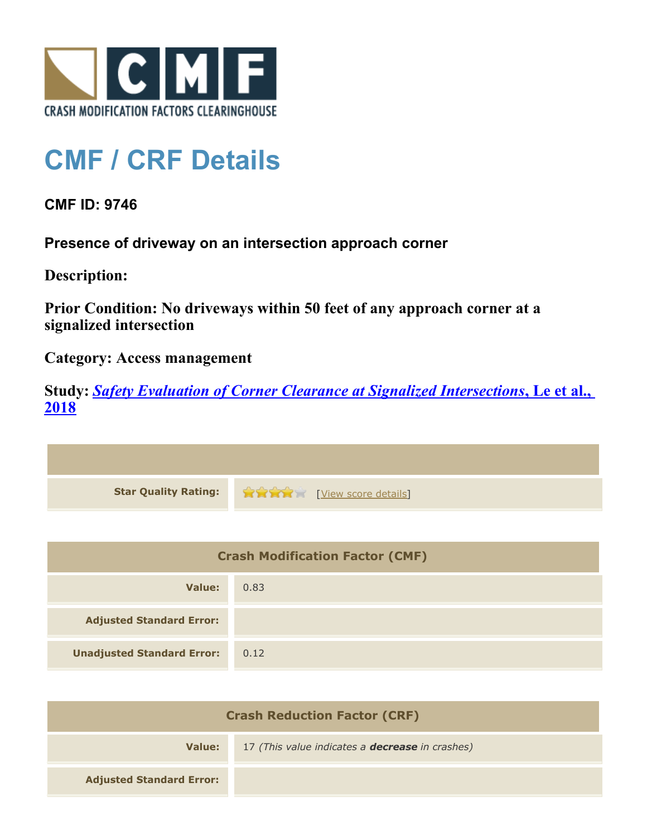

## **CMF / CRF Details**

## **CMF ID: 9746**

**Presence of driveway on an intersection approach corner**

**Description:** 

**Prior Condition: No driveways within 50 feet of any approach corner at a signalized intersection**

**Category: Access management**

**Study:** *[Safety Evaluation of Corner Clearance at Signalized Intersections](http://www.cmfclearinghouse.org/study_detail.cfm?stid=543)***[, Le et al.,](http://www.cmfclearinghouse.org/study_detail.cfm?stid=543) [2018](http://www.cmfclearinghouse.org/study_detail.cfm?stid=543)**



| <b>Crash Modification Factor (CMF)</b> |      |
|----------------------------------------|------|
| Value:                                 | 0.83 |
| <b>Adjusted Standard Error:</b>        |      |
| <b>Unadjusted Standard Error:</b>      | 0.12 |

| <b>Crash Reduction Factor (CRF)</b> |                                                        |
|-------------------------------------|--------------------------------------------------------|
| Value:                              | 17 (This value indicates a <b>decrease</b> in crashes) |
| <b>Adjusted Standard Error:</b>     |                                                        |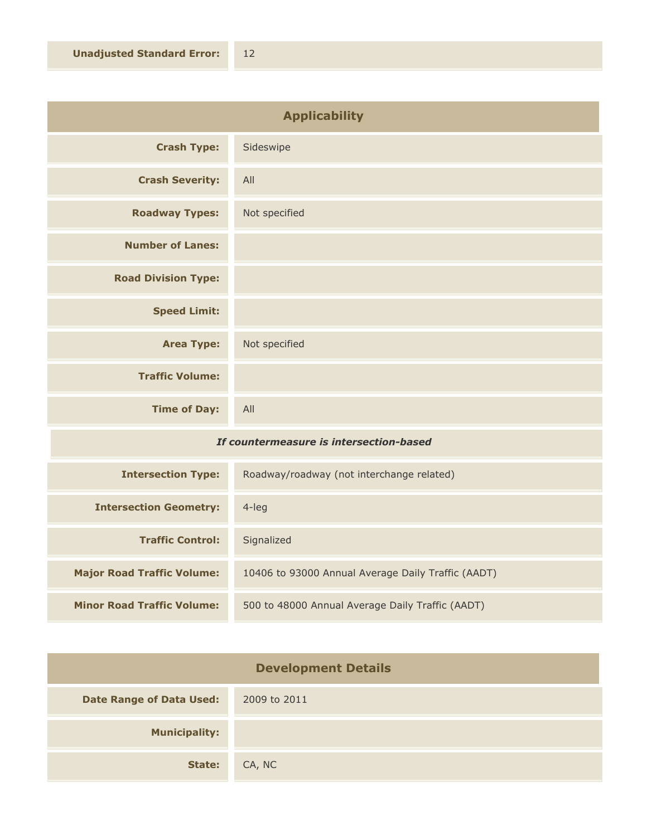| <b>Applicability</b>       |               |
|----------------------------|---------------|
| <b>Crash Type:</b>         | Sideswipe     |
| <b>Crash Severity:</b>     | All           |
| <b>Roadway Types:</b>      | Not specified |
| <b>Number of Lanes:</b>    |               |
| <b>Road Division Type:</b> |               |
| <b>Speed Limit:</b>        |               |
| <b>Area Type:</b>          | Not specified |
| <b>Traffic Volume:</b>     |               |
| <b>Time of Day:</b>        | All           |

## *If countermeasure is intersection-based*

| <b>Intersection Type:</b>         | Roadway/roadway (not interchange related)          |
|-----------------------------------|----------------------------------------------------|
| <b>Intersection Geometry:</b>     | $4$ -leg                                           |
| <b>Traffic Control:</b>           | Signalized                                         |
| <b>Major Road Traffic Volume:</b> | 10406 to 93000 Annual Average Daily Traffic (AADT) |
| <b>Minor Road Traffic Volume:</b> | 500 to 48000 Annual Average Daily Traffic (AADT)   |

| <b>Development Details</b>      |              |
|---------------------------------|--------------|
| <b>Date Range of Data Used:</b> | 2009 to 2011 |
| <b>Municipality:</b>            |              |
| State:                          | CA, NC       |